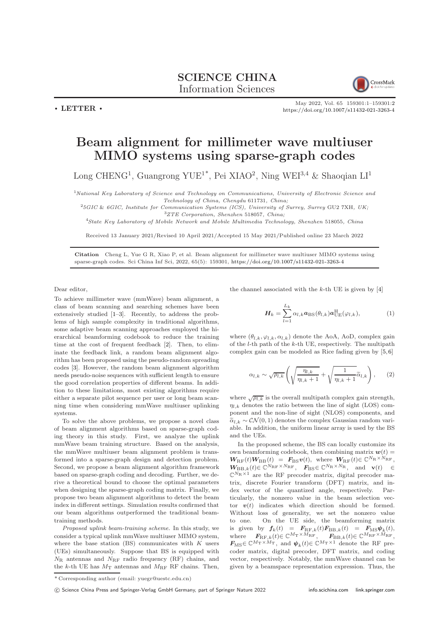## SCIENCE CHINA Information Sciences



May 2022, Vol. 65 159301:1–159301[:2](#page-1-0) <https://doi.org/10.1007/s11432-021-3263-4>

## Beam alignment for millimeter wave multiuser MIMO systems using sparse-graph codes

Long CHENG<sup>1</sup>, Guangrong YUE<sup>1\*</sup>, Pei XIAO<sup>2</sup>, Ning WEI<sup>3,4</sup> & Shaoqian LI<sup>1</sup>

<sup>1</sup>National Key Laboratory of Science and Technology on Communications, University of Electronic Science and Technology of China, Chengdu 611731, China;

<sup>2</sup>5GIC & 6GIC, Institute for Communication Systems (ICS), University of Surrey, Surrey GU2 7XH, UK; <sup>3</sup>ZTE Corporation, Shenzhen 518057, China;

<sup>4</sup>State Key Laboratory of Mobile Network and Mobile Multimedia Technology, Shenzhen 518055, China

Received 13 January 2021/Revised 10 April 2021/Accepted 15 May 2021/Published online 23 March 2022

Citation Cheng L, Yue G R, Xiao P, et al. Beam alignment for millimeter wave multiuser MIMO systems using sparse-graph codes. Sci China Inf Sci, 2022, 65(5): 159301, <https://doi.org/10.1007/s11432-021-3263-4>

Dear editor,

 $\cdot$  LETTER  $\cdot$ 

To achieve millimeter wave (mmWave) beam alignment, a class of beam scanning and searching schemes have been extensively studied [\[1](#page-1-1)[–3\]](#page-1-2). Recently, to address the problems of high sample complexity in traditional algorithms, some adaptive beam scanning approaches employed the hierarchical beamforming codebook to reduce the training time at the cost of frequent feedback [\[2\]](#page-1-3). Then, to eliminate the feedback link, a random beam alignment algorithm has been proposed using the pseudo-random spreading codes [\[3\]](#page-1-2). However, the random beam alignment algorithm needs pseudo-noise sequences with sufficient length to ensure the good correlation properties of different beams. In addition to these limitations, most existing algorithms require either a separate pilot sequence per user or long beam scanning time when considering mmWave multiuser uplinking systems.

To solve the above problems, we propose a novel class of beam alignment algorithms based on sparse-graph coding theory in this study. First, we analyze the uplink mmWave beam training structure. Based on the analysis, the mmWave multiuser beam alignment problem is transformed into a sparse-graph design and detection problem. Second, we propose a beam alignment algorithm framework based on sparse-graph coding and decoding. Further, we derive a theoretical bound to choose the optimal parameters when designing the sparse-graph coding matrix. Finally, we propose two beam alignment algorithms to detect the beam index in different settings. Simulation results confirmed that our beam algorithms outperformed the traditional beamtraining methods.

Proposed uplink beam-training scheme. In this study, we consider a typical uplink mmWave multiuser MIMO system, where the base station  $(BS)$  communicates with  $K$  users (UEs) simultaneously. Suppose that BS is equipped with  $N_{\rm R}$  antennas and  $N_{\rm RF}$  radio frequency (RF) chains, and the k-th UE has  $M_T$  antennas and  $M_{\text{RF}}$  RF chains. Then,

the channel associated with the  $k$ -th UE is given by [\[4\]](#page-1-4)

$$
\boldsymbol{H}_{k} = \sum_{l=1}^{L_{k}} \alpha_{l,k} \boldsymbol{a}_{\text{BS}}(\theta_{l,k}) \boldsymbol{a}_{\text{UE}}^{\text{H}}(\varphi_{l,k}), \tag{1}
$$

where  $(\theta_{l,k}, \varphi_{l,k}, \alpha_{l,k})$  denote the AoA, AoD, complex gain of the l-th path of the k-th UE, respectively. The multipath complex gain can be modeled as Rice fading given by [\[5,](#page-1-5) [6\]](#page-1-6)

$$
\alpha_{l,k} \sim \sqrt{\rho_{l,k}} \left( \sqrt{\frac{\eta_{l,k}}{\eta_{l,k}+1}} + \sqrt{\frac{1}{\eta_{l,k}+1}} \widetilde{\alpha}_{l,k} \right), \qquad (2)
$$

where  $\sqrt{\rho_{l,k}}$  is the overall multipath complex gain strength,  $\eta_{l,k}$  denotes the ratio between the line of sight (LOS) component and the non-line of sight (NLOS) components, and  $\tilde{\alpha}_{l,k} \sim \mathcal{CN}(0, 1)$  denotes the complex Gaussian random variable. In addition, the uniform linear array is used by the BS and the UEs.

In the proposed scheme, the BS can locally customize its own beamforming codebook, then combining matrix  $\boldsymbol{w}(t) =$  $W_{\rm RF}(t)W_{\rm BB}(t) = F_{\rm BS} v(t)$ , where  $W_{\rm RF}(t) \in \mathbb{C}^{N_{\rm R} \times N_{\rm RF}}$ ,  $W_{\text{BB},k}(t) \in \mathbb{C}^{N_{\text{RF}} \times N_{\text{RF}}}$ ,  $F_{\text{BS}} \in \mathbb{C}^{N_{\text{R}} \times N_{\text{R}}}$ , and  $\mathbf{v}(t) \in$  $\mathbb{C}^{N_{\rm R}\times 1}$  are the RF precoder matrix, digital precoder matrix, discrete Fourier transform (DFT) matrix, and index vector of the quantized angle, respectively. Particularly, the nonzero value in the beam selection vector  $v(t)$  indicates which direction should be formed. Without loss of generality, we set the nonzero value to one. On the UE side, the beamforming matrix is given by  $f_k(t) = F_{\text{RF},k}(t)F_{\text{BB},k}(t) = F_{\text{MS}}\psi_k(t)$ , where  $\mathbf{F}_{\text{RF},k}(t) \in \mathbb{C}^{M_{\text{T}} \times M_{\text{RF}}}$ ,  $\mathbf{F}_{\text{BB},k}(t) \in \mathbb{C}^{M_{\text{RF}} \times M_{\text{RF}}}$ ,  $\mathbf{F}_{\text{MS}} \in \mathbb{C}^{M_{\text{T}} \times M_{\text{T}}}$ , and  $\mathbf{\psi}_k(t) \in \mathbb{C}^{M_{\text{T}} \times 1}$  denote the RF precoder matrix, digital precoder, DFT matrix, and coding vector, respectively. Notably, the mmWave channel can be given by a beamspace representation expression. Thus, the

<sup>\*</sup> Corresponding author (email: yuegr@uestc.edu.cn)

c Science China Press and Springer-Verlag GmbH Germany, part of Springer Nature 2022 <info.scichina.com><link.springer.com>